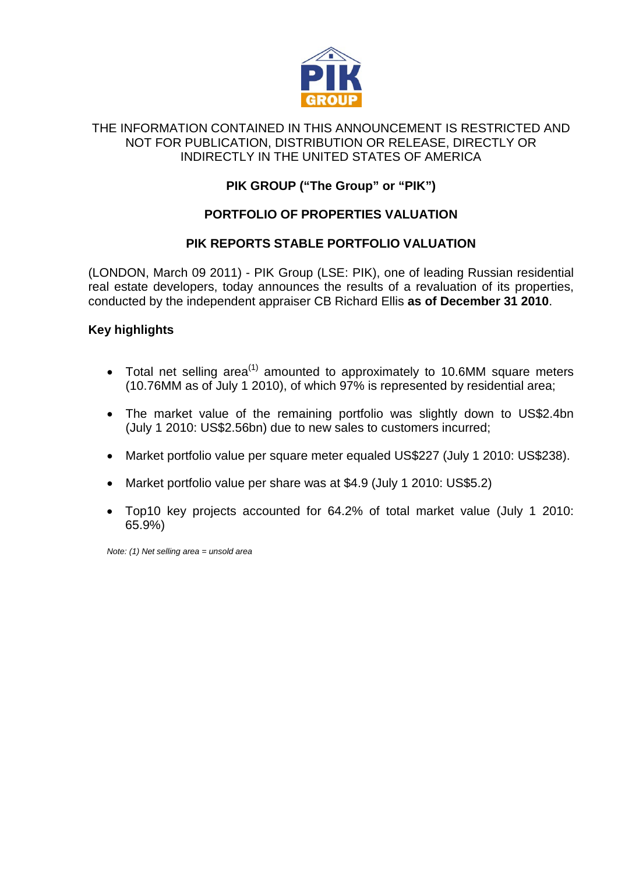

#### THE INFORMATION CONTAINED IN THIS ANNOUNCEMENT IS RESTRICTED AND NOT FOR PUBLICATION, DISTRIBUTION OR RELEASE, DIRECTLY OR INDIRECTLY IN THE UNITED STATES OF AMERICA

# **PIK GROUP ("The Group" or "PIK")**

## **PORTFOLIO OF PROPERTIES VALUATION**

#### **PIK REPORTS STABLE PORTFOLIO VALUATION**

(LONDON, March 09 2011) - PIK Group (LSE: PIK), one of leading Russian residential real estate developers, today announces the results of a revaluation of its properties, conducted by the independent appraiser CB Richard Ellis **as of December 31 2010**.

#### **Key highlights**

- Total net selling area<sup>(1)</sup> amounted to approximately to 10.6MM square meters (10.76MM as of July 1 2010), of which 97% is represented by residential area;
- The market value of the remaining portfolio was slightly down to US\$2.4bn (July 1 2010: US\$2.56bn) due to new sales to customers incurred;
- Market portfolio value per square meter equaled US\$227 (July 1 2010: US\$238).
- Market portfolio value per share was at \$4.9 (July 1 2010: US\$5.2)
- Top10 key projects accounted for 64.2% of total market value (July 1 2010: 65.9%)

*Note: (1) Net selling area = unsold area*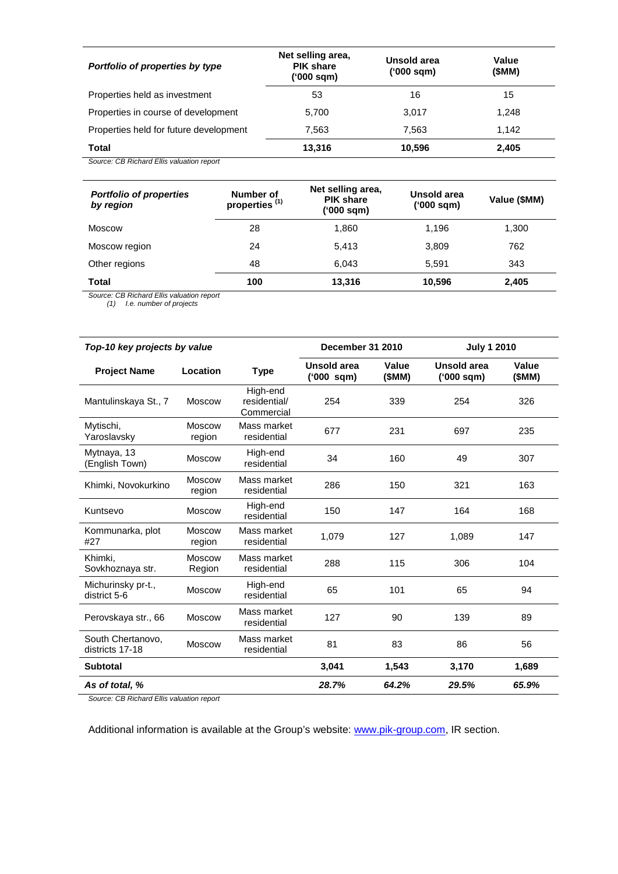| Portfolio of properties by type        | Net selling area,<br><b>PIK share</b><br>('000 sqm) | Unsold area<br>('000 sqm) | Value<br>(SMM) |  |
|----------------------------------------|-----------------------------------------------------|---------------------------|----------------|--|
| Properties held as investment          | 53                                                  | 16                        | 15             |  |
| Properties in course of development    | 5.700                                               | 3,017                     | 1.248          |  |
| Properties held for future development | 7.563                                               | 7.563                     | 1.142          |  |
| Total                                  | 13.316                                              | 10,596                    | 2,405          |  |

*Source: CB Richard Ellis valuation report*

| <b>Portfolio of properties</b><br>by region | Number of<br>properties <sup>(1)</sup> | Net selling area,<br><b>PIK share</b><br>('000 sqm) | Unsold area<br>('000 sqm) | Value (\$MM) |  |
|---------------------------------------------|----------------------------------------|-----------------------------------------------------|---------------------------|--------------|--|
| Moscow                                      | 28                                     | 1.860                                               | 1.196                     | 1,300        |  |
| Moscow region                               | 24                                     | 5.413                                               | 3,809                     | 762          |  |
| Other regions                               | 48                                     | 6.043                                               | 5,591                     | 343          |  |
| <b>Total</b>                                | 100                                    | 13,316                                              | 10,596                    | 2,405        |  |

*Source: CB Richard Ellis valuation report*

*(1) I.e. number of projects*

| Top-10 key projects by value         |                         | December 31 2010                       |                           | <b>July 1 2010</b> |                           |                |
|--------------------------------------|-------------------------|----------------------------------------|---------------------------|--------------------|---------------------------|----------------|
| <b>Project Name</b>                  | Location                | <b>Type</b>                            | Unsold area<br>('000 sqm) | Value<br>(SMM)     | Unsold area<br>('000 sqm) | Value<br>(SMM) |
| Mantulinskaya St., 7                 | <b>Moscow</b>           | High-end<br>residential/<br>Commercial | 254                       | 339                | 254                       | 326            |
| Mytischi,<br>Yaroslavsky             | <b>Moscow</b><br>region | Mass market<br>residential             | 677                       | 231                | 697                       | 235            |
| Mytnaya, 13<br>(English Town)        | Moscow                  | High-end<br>residential                | 34                        | 160                | 49                        | 307            |
| Khimki, Novokurkino                  | <b>Moscow</b><br>region | Mass market<br>residential             | 286                       | 150                | 321                       | 163            |
| Kuntsevo                             | <b>Moscow</b>           | High-end<br>residential                | 150                       | 147                | 164                       | 168            |
| Kommunarka, plot<br>#27              | <b>Moscow</b><br>region | Mass market<br>residential             | 1,079                     | 127                | 1,089                     | 147            |
| Khimki.<br>Sovkhoznaya str.          | <b>Moscow</b><br>Region | Mass market<br>residential             | 288                       | 115                | 306                       | 104            |
| Michurinsky pr-t.,<br>district 5-6   | <b>Moscow</b>           | High-end<br>residential                | 65                        | 101                | 65                        | 94             |
| Perovskaya str., 66                  | <b>Moscow</b>           | Mass market<br>residential             | 127                       | 90                 | 139                       | 89             |
| South Chertanovo.<br>districts 17-18 | <b>Moscow</b>           | Mass market<br>residential             | 81                        | 83                 | 86                        | 56             |
| <b>Subtotal</b>                      |                         |                                        | 3,041                     | 1,543              | 3,170                     | 1,689          |
| As of total, %                       |                         |                                        | 28.7%                     | 64.2%              | 29.5%                     | 65.9%          |

*Source: CB Richard Ellis valuation report*

Additional information is available at the Group's website: [www.pik-group.com,](http://www.pik-group.com/) IR section.